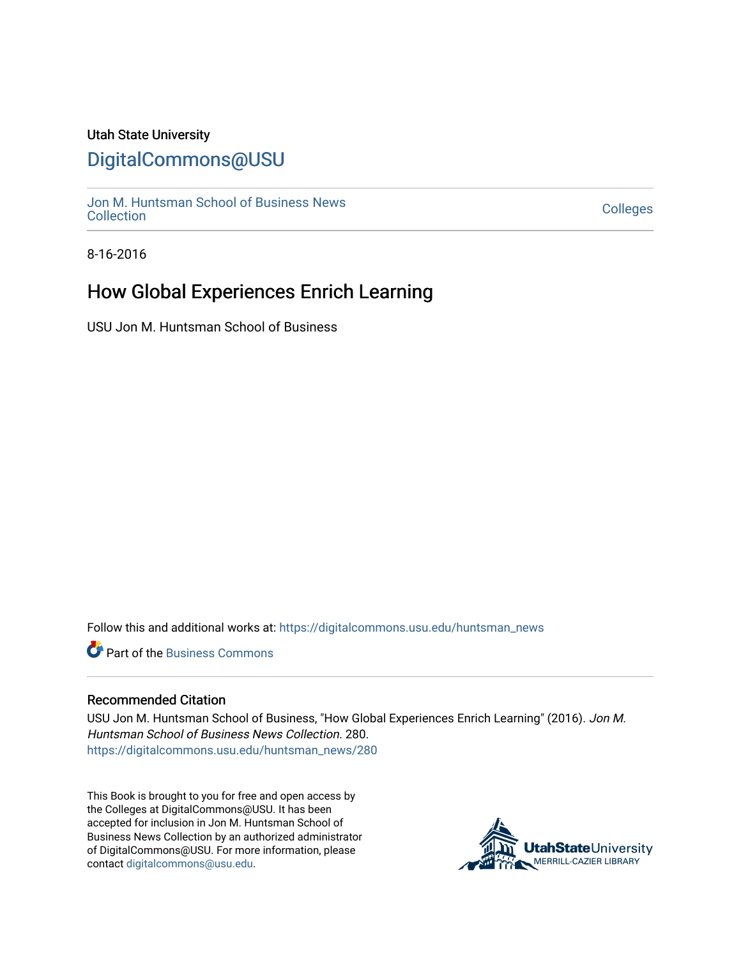### Utah State University

## [DigitalCommons@USU](https://digitalcommons.usu.edu/)

[Jon M. Huntsman School of Business News](https://digitalcommons.usu.edu/huntsman_news)  Soft M. Huntsman School of Business News<br>[Collection](https://digitalcommons.usu.edu/huntsman_news) Colleges

8-16-2016

## How Global Experiences Enrich Learning

USU Jon M. Huntsman School of Business

Follow this and additional works at: [https://digitalcommons.usu.edu/huntsman\\_news](https://digitalcommons.usu.edu/huntsman_news?utm_source=digitalcommons.usu.edu%2Fhuntsman_news%2F280&utm_medium=PDF&utm_campaign=PDFCoverPages) 

**C** Part of the [Business Commons](http://network.bepress.com/hgg/discipline/622?utm_source=digitalcommons.usu.edu%2Fhuntsman_news%2F280&utm_medium=PDF&utm_campaign=PDFCoverPages)

#### Recommended Citation

USU Jon M. Huntsman School of Business, "How Global Experiences Enrich Learning" (2016). Jon M. Huntsman School of Business News Collection. 280. [https://digitalcommons.usu.edu/huntsman\\_news/280](https://digitalcommons.usu.edu/huntsman_news/280?utm_source=digitalcommons.usu.edu%2Fhuntsman_news%2F280&utm_medium=PDF&utm_campaign=PDFCoverPages) 

This Book is brought to you for free and open access by the Colleges at DigitalCommons@USU. It has been accepted for inclusion in Jon M. Huntsman School of Business News Collection by an authorized administrator of DigitalCommons@USU. For more information, please contact [digitalcommons@usu.edu](mailto:digitalcommons@usu.edu).